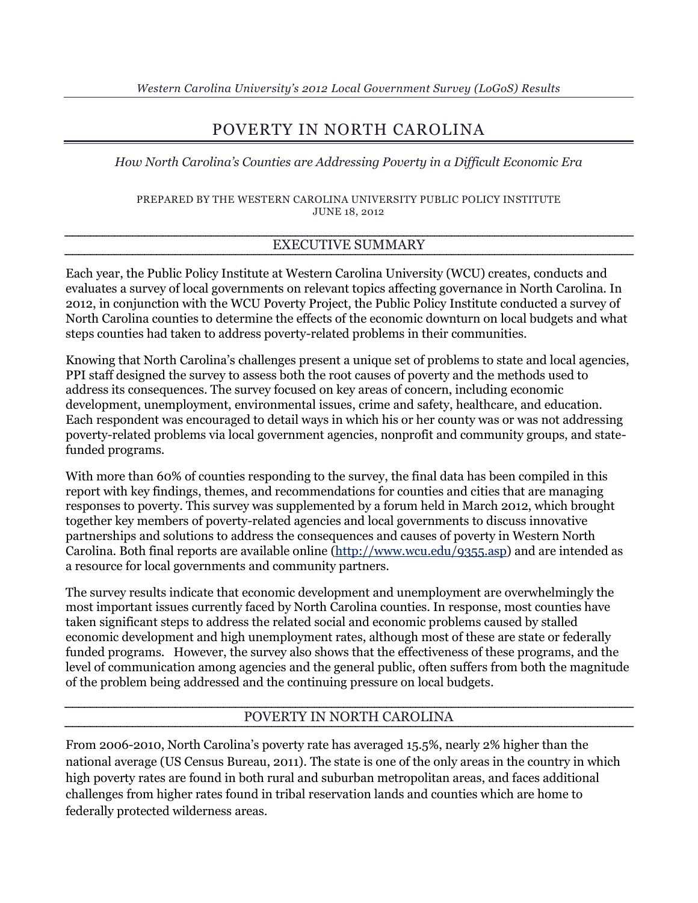# POVERTY IN NORTH CAROLINA

*How North Carolina's Counties are Addressing Poverty in a Difficult Economic Era*

PREPARED BY THE WESTERN CAROLINA UNIVERSITY PUBLIC POLICY INSTITUTE JUNE 18, 2012

## EXECUTIVE SUMMARY

Each year, the Public Policy Institute at Western Carolina University (WCU) creates, conducts and evaluates a survey of local governments on relevant topics affecting governance in North Carolina. In 2012, in conjunction with the WCU Poverty Project, the Public Policy Institute conducted a survey of North Carolina counties to determine the effects of the economic downturn on local budgets and what steps counties had taken to address poverty-related problems in their communities.

Knowing that North Carolina's challenges present a unique set of problems to state and local agencies, PPI staff designed the survey to assess both the root causes of poverty and the methods used to address its consequences. The survey focused on key areas of concern, including economic development, unemployment, environmental issues, crime and safety, healthcare, and education. Each respondent was encouraged to detail ways in which his or her county was or was not addressing poverty-related problems via local government agencies, nonprofit and community groups, and statefunded programs.

With more than 60% of counties responding to the survey, the final data has been compiled in this report with key findings, themes, and recommendations for counties and cities that are managing responses to poverty. This survey was supplemented by a forum held in March 2012, which brought together key members of poverty-related agencies and local governments to discuss innovative partnerships and solutions to address the consequences and causes of poverty in Western North Carolina. Both final reports are available online [\(http://www.wcu.edu/9355.asp\)](http://www.wcu.edu/9355.asp) and are intended as a resource for local governments and community partners.

The survey results indicate that economic development and unemployment are overwhelmingly the most important issues currently faced by North Carolina counties. In response, most counties have taken significant steps to address the related social and economic problems caused by stalled economic development and high unemployment rates, although most of these are state or federally funded programs. However, the survey also shows that the effectiveness of these programs, and the level of communication among agencies and the general public, often suffers from both the magnitude of the problem being addressed and the continuing pressure on local budgets.

#### POVERTY IN NORTH CAROLINA

From 2006-2010, North Carolina's poverty rate has averaged 15.5%, nearly 2% higher than the national average (US Census Bureau, 2011). The state is one of the only areas in the country in which high poverty rates are found in both rural and suburban metropolitan areas, and faces additional challenges from higher rates found in tribal reservation lands and counties which are home to federally protected wilderness areas.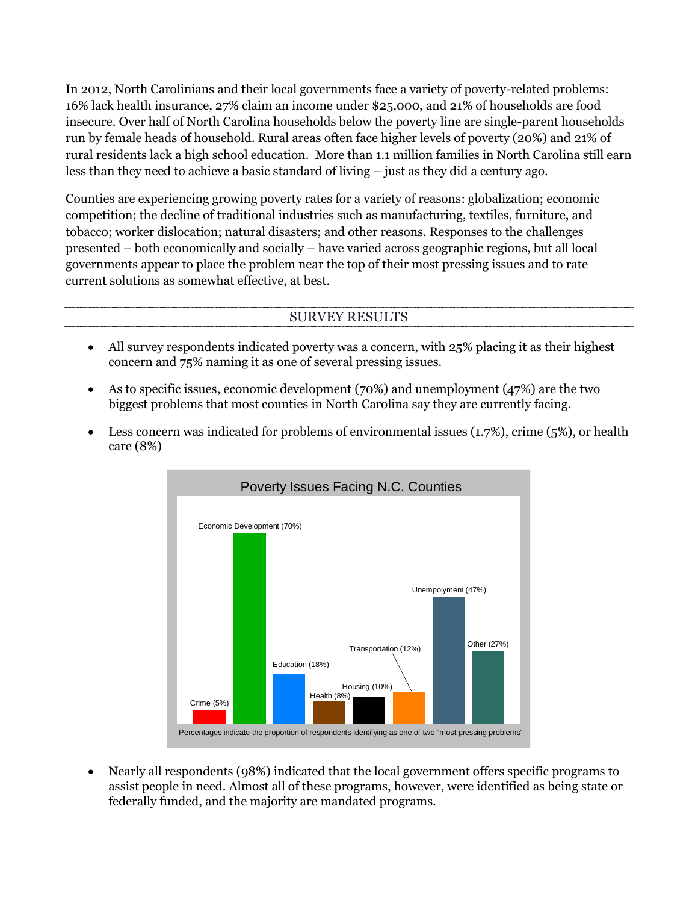In 2012, North Carolinians and their local governments face a variety of poverty-related problems: 16% lack health insurance, 27% claim an income under \$25,000, and 21% of households are food insecure. Over half of North Carolina households below the poverty line are single-parent households run by female heads of household. Rural areas often face higher levels of poverty (20%) and 21% of rural residents lack a high school education. More than 1.1 million families in North Carolina still earn less than they need to achieve a basic standard of living – just as they did a century ago.

Counties are experiencing growing poverty rates for a variety of reasons: globalization; economic competition; the decline of traditional industries such as manufacturing, textiles, furniture, and tobacco; worker dislocation; natural disasters; and other reasons. Responses to the challenges presented – both economically and socially – have varied across geographic regions, but all local governments appear to place the problem near the top of their most pressing issues and to rate current solutions as somewhat effective, at best.

### SURVEY RESULTS

- All survey respondents indicated poverty was a concern, with 25% placing it as their highest concern and 75% naming it as one of several pressing issues.
- As to specific issues, economic development (70%) and unemployment (47%) are the two biggest problems that most counties in North Carolina say they are currently facing.
- Eess concern was indicated for problems of environmental issues  $(1.7\%)$ , crime  $(5\%)$ , or health care (8%)



 Nearly all respondents (98%) indicated that the local government offers specific programs to assist people in need. Almost all of these programs, however, were identified as being state or federally funded, and the majority are mandated programs.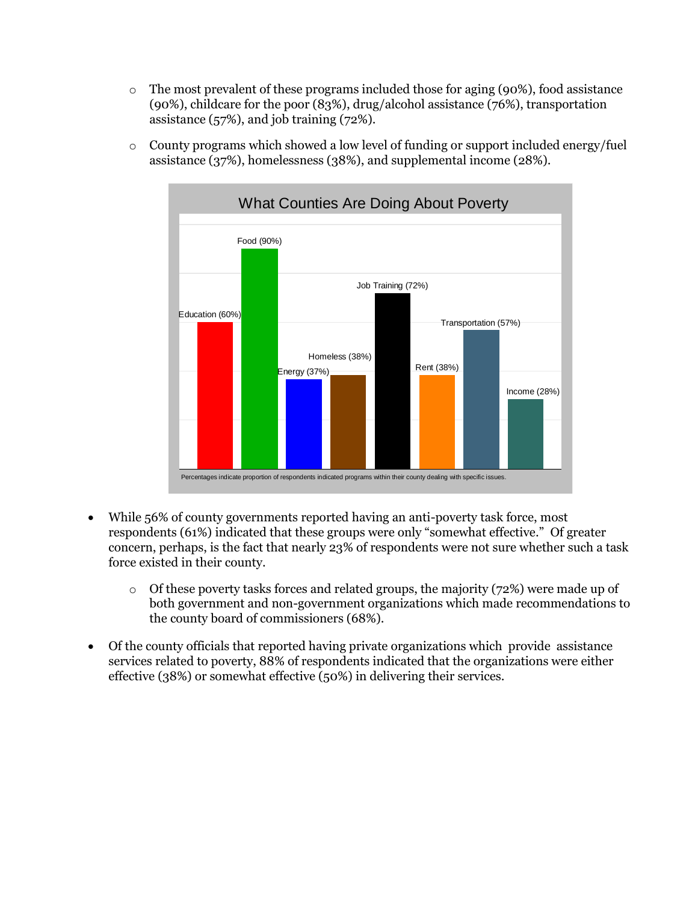$\circ$  The most prevalent of these programs included those for aging (90%), food assistance (90%), childcare for the poor (83%), drug/alcohol assistance (76%), transportation assistance (57%), and job training (72%).



o County programs which showed a low level of funding or support included energy/fuel assistance (37%), homelessness (38%), and supplemental income (28%).

- While 56% of county governments reported having an anti-poverty task force, most respondents (61%) indicated that these groups were only "somewhat effective." Of greater concern, perhaps, is the fact that nearly 23% of respondents were not sure whether such a task force existed in their county.
	- o Of these poverty tasks forces and related groups, the majority (72%) were made up of both government and non-government organizations which made recommendations to the county board of commissioners (68%).
- Of the county officials that reported having private organizations which provide assistance services related to poverty, 88% of respondents indicated that the organizations were either effective (38%) or somewhat effective (50%) in delivering their services.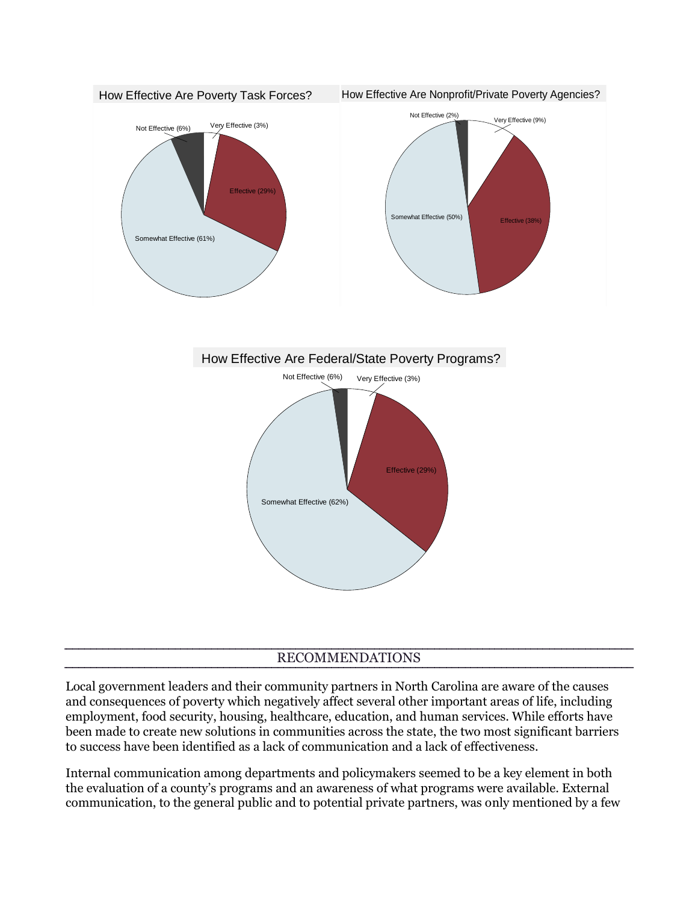

#### RECOMMENDATIONS

Local government leaders and their community partners in North Carolina are aware of the causes and consequences of poverty which negatively affect several other important areas of life, including employment, food security, housing, healthcare, education, and human services. While efforts have been made to create new solutions in communities across the state, the two most significant barriers to success have been identified as a lack of communication and a lack of effectiveness.

Internal communication among departments and policymakers seemed to be a key element in both the evaluation of a county's programs and an awareness of what programs were available. External communication, to the general public and to potential private partners, was only mentioned by a few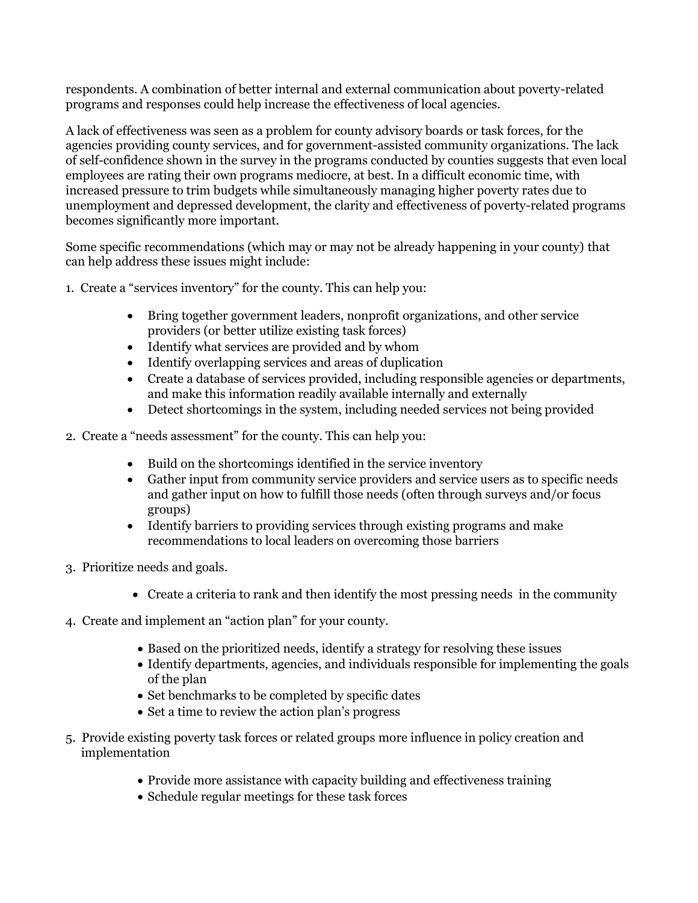respondents. A combination of better internal and external communication about poverty-related programs and responses could help increase the effectiveness of local agencies.

A lack of effectiveness was seen as a problem for county advisory boards or task forces, for the agencies providing county services, and for government-assisted community organizations. The lack of self-confidence shown in the survey in the programs conducted by counties suggests that even local employees are rating their own programs mediocre, at best. In a difficult economic time, with increased pressure to trim budgets while simultaneously managing higher poverty rates due to unemployment and depressed development, the clarity and effectiveness of poverty-related programs becomes significantly more important.

Some specific recommendations (which may or may not be already happening in your county) that can help address these issues might include:

- 1. Create a "services inventory" for the county. This can help you:
	- Bring together government leaders, nonprofit organizations, and other service providers (or better utilize existing task forces)
	- Identify what services are provided and by whom
	- Identify overlapping services and areas of duplication
	- Create a database of services provided, including responsible agencies or departments, and make this information readily available internally and externally
	- Detect shortcomings in the system, including needed services not being provided
- 2. Create a "needs assessment" for the county. This can help you:
	- Build on the shortcomings identified in the service inventory
	- Gather input from community service providers and service users as to specific needs and gather input on how to fulfill those needs (often through surveys and/or focus groups)
	- Identify barriers to providing services through existing programs and make recommendations to local leaders on overcoming those barriers
- 3. Prioritize needs and goals.
	- Create a criteria to rank and then identify the most pressing needs in the community
- 4. Create and implement an "action plan" for your county.
	- Based on the prioritized needs, identify a strategy for resolving these issues
	- Identify departments, agencies, and individuals responsible for implementing the goals of the plan
	- Set benchmarks to be completed by specific dates
	- Set a time to review the action plan's progress
- 5. Provide existing poverty task forces or related groups more influence in policy creation and implementation
	- Provide more assistance with capacity building and effectiveness training
	- Schedule regular meetings for these task forces